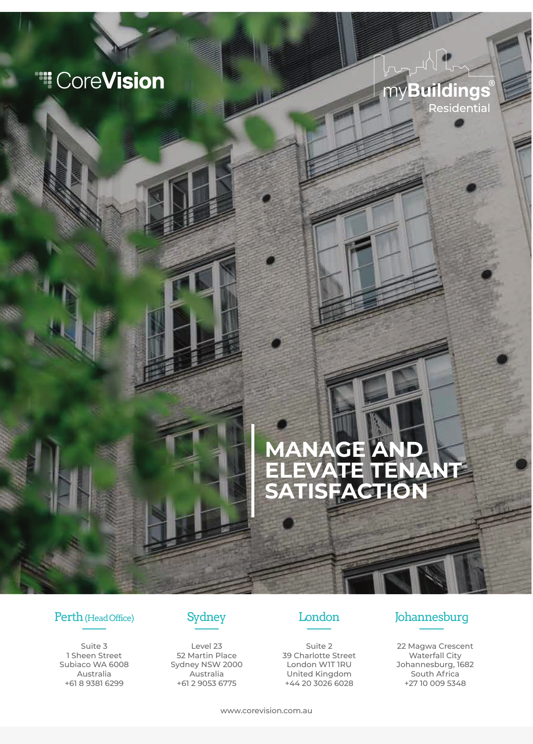# **Ti** CoreVision

## myBuildings Residential

## **MANAGE AND ELEVATE TENANT SATISFACTION**

### Perth (Head Office) Sydney London Johannesburg

Suite 3 1 Sheen Street Subiaco WA 6008 Australia +61 8 9381 6299



Level 23 52 Martin Place Sydney NSW 2000 Australia +61 2 9053 6775



Suite 2 39 Charlotte Street London W1T 1RU United Kingdom +44 20 3026 6028

22 Magwa Crescent Waterfall City Johannesburg, 1682 South Africa +27 10 009 5348

www.corevision.com.au